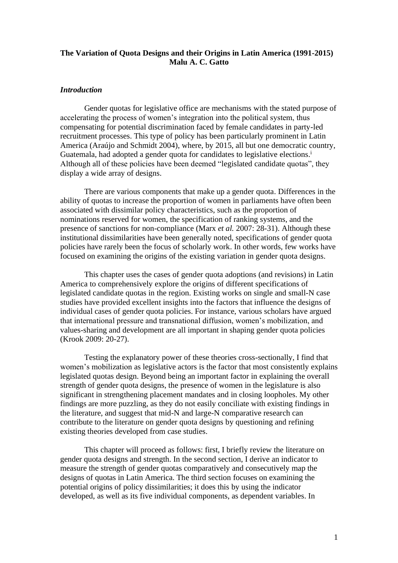### **The Variation of Quota Designs and their Origins in Latin America (1991-2015) Malu A. C. Gatto**

### *Introduction*

Gender quotas for legislative office are mechanisms with the stated purpose of accelerating the process of women's integration into the political system, thus compensating for potential discrimination faced by female candidates in party-led recruitment processes. This type of policy has been particularly prominent in Latin America (Araújo and Schmidt 2004), where, by 2015, all but one democratic country, Guatemala, had adopted a gender quota for candidates to legislative elections.<sup>i</sup> Although all of these policies have been deemed "legislated candidate quotas", they display a wide array of designs.

There are various components that make up a gender quota. Differences in the ability of quotas to increase the proportion of women in parliaments have often been associated with dissimilar policy characteristics, such as the proportion of nominations reserved for women, the specification of ranking systems, and the presence of sanctions for non-compliance (Marx *et al.* 2007: 28-31). Although these institutional dissimilarities have been generally noted, specifications of gender quota policies have rarely been the focus of scholarly work. In other words, few works have focused on examining the origins of the existing variation in gender quota designs.

This chapter uses the cases of gender quota adoptions (and revisions) in Latin America to comprehensively explore the origins of different specifications of legislated candidate quotas in the region. Existing works on single and small-N case studies have provided excellent insights into the factors that influence the designs of individual cases of gender quota policies. For instance, various scholars have argued that international pressure and transnational diffusion, women's mobilization, and values-sharing and development are all important in shaping gender quota policies (Krook 2009: 20-27).

Testing the explanatory power of these theories cross-sectionally, I find that women's mobilization as legislative actors is the factor that most consistently explains legislated quotas design. Beyond being an important factor in explaining the overall strength of gender quota designs, the presence of women in the legislature is also significant in strengthening placement mandates and in closing loopholes. My other findings are more puzzling, as they do not easily conciliate with existing findings in the literature, and suggest that mid-N and large-N comparative research can contribute to the literature on gender quota designs by questioning and refining existing theories developed from case studies.

This chapter will proceed as follows: first, I briefly review the literature on gender quota designs and strength. In the second section, I derive an indicator to measure the strength of gender quotas comparatively and consecutively map the designs of quotas in Latin America. The third section focuses on examining the potential origins of policy dissimilarities; it does this by using the indicator developed, as well as its five individual components, as dependent variables. In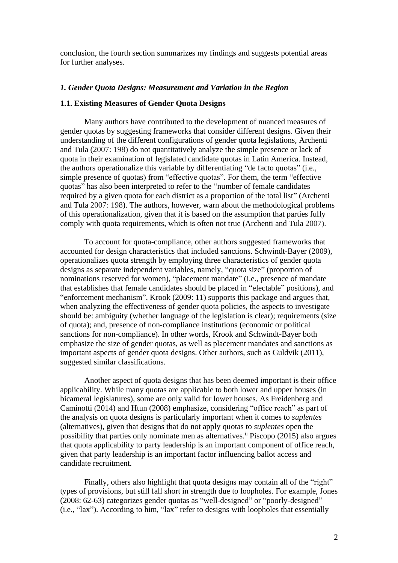conclusion, the fourth section summarizes my findings and suggests potential areas for further analyses.

### *1. Gender Quota Designs: Measurement and Variation in the Region*

### **1.1. Existing Measures of Gender Quota Designs**

Many authors have contributed to the development of nuanced measures of gender quotas by suggesting frameworks that consider different designs. Given their understanding of the different configurations of gender quota legislations, Archenti and Tula (2007: 198) do not quantitatively analyze the simple presence or lack of quota in their examination of legislated candidate quotas in Latin America. Instead, the authors operationalize this variable by differentiating "de facto quotas" (i.e., simple presence of quotas) from "effective quotas". For them, the term "effective quotas" has also been interpreted to refer to the "number of female candidates required by a given quota for each district as a proportion of the total list" (Archenti and Tula 2007: 198). The authors, however, warn about the methodological problems of this operationalization, given that it is based on the assumption that parties fully comply with quota requirements, which is often not true (Archenti and Tula 2007).

To account for quota-compliance, other authors suggested frameworks that accounted for design characteristics that included sanctions. Schwindt-Bayer (2009), operationalizes quota strength by employing three characteristics of gender quota designs as separate independent variables, namely, "quota size" (proportion of nominations reserved for women), "placement mandate" (i.e., presence of mandate that establishes that female candidates should be placed in "electable" positions), and "enforcement mechanism". Krook (2009: 11) supports this package and argues that, when analyzing the effectiveness of gender quota policies, the aspects to investigate should be: ambiguity (whether language of the legislation is clear); requirements (size of quota); and, presence of non-compliance institutions (economic or political sanctions for non-compliance). In other words, Krook and Schwindt-Bayer both emphasize the size of gender quotas, as well as placement mandates and sanctions as important aspects of gender quota designs. Other authors, such as Guldvik (2011), suggested similar classifications.

Another aspect of quota designs that has been deemed important is their office applicability. While many quotas are applicable to both lower and upper houses (in bicameral legislatures), some are only valid for lower houses. As Freidenberg and Caminotti (2014) and Htun (2008) emphasize, considering "office reach" as part of the analysis on quota designs is particularly important when it comes to *suplentes* (alternatives), given that designs that do not apply quotas to *suplentes* open the possibility that parties only nominate men as alternatives.ii Piscopo (2015) also argues that quota applicability to party leadership is an important component of office reach, given that party leadership is an important factor influencing ballot access and candidate recruitment.

Finally, others also highlight that quota designs may contain all of the "right" types of provisions, but still fall short in strength due to loopholes. For example, Jones (2008: 62-63) categorizes gender quotas as "well-designed" or "poorly-designed" (i.e., "lax"). According to him, "lax" refer to designs with loopholes that essentially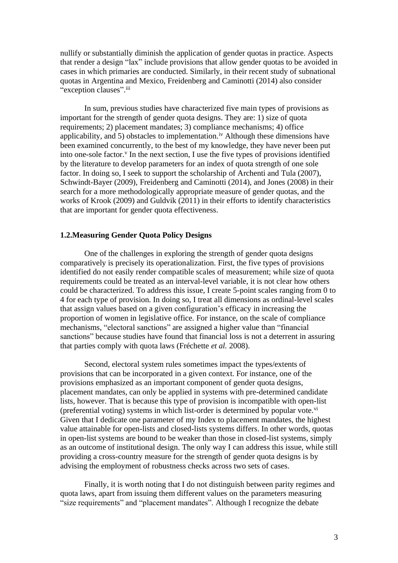nullify or substantially diminish the application of gender quotas in practice. Aspects that render a design "lax" include provisions that allow gender quotas to be avoided in cases in which primaries are conducted. Similarly, in their recent study of subnational quotas in Argentina and Mexico, Freidenberg and Caminotti (2014) also consider "exception clauses".<sup>iii</sup>

In sum, previous studies have characterized five main types of provisions as important for the strength of gender quota designs. They are: 1) size of quota requirements; 2) placement mandates; 3) compliance mechanisms; 4) office applicability, and 5) obstacles to implementation.<sup>iv</sup> Although these dimensions have been examined concurrently, to the best of my knowledge, they have never been put into one-sole factor.<sup>v</sup> In the next section, I use the five types of provisions identified by the literature to develop parameters for an index of quota strength of one sole factor. In doing so, I seek to support the scholarship of Archenti and Tula (2007), Schwindt-Bayer (2009), Freidenberg and Caminotti (2014), and Jones (2008) in their search for a more methodologically appropriate measure of gender quotas, and the works of Krook (2009) and Guldvik (2011) in their efforts to identify characteristics that are important for gender quota effectiveness.

### **1.2.Measuring Gender Quota Policy Designs**

One of the challenges in exploring the strength of gender quota designs comparatively is precisely its operationalization. First, the five types of provisions identified do not easily render compatible scales of measurement; while size of quota requirements could be treated as an interval-level variable, it is not clear how others could be characterized. To address this issue, I create 5-point scales ranging from 0 to 4 for each type of provision. In doing so, I treat all dimensions as ordinal-level scales that assign values based on a given configuration's efficacy in increasing the proportion of women in legislative office. For instance, on the scale of compliance mechanisms, "electoral sanctions" are assigned a higher value than "financial sanctions" because studies have found that financial loss is not a deterrent in assuring that parties comply with quota laws (Fréchette *et al.* 2008).

Second, electoral system rules sometimes impact the types/extents of provisions that can be incorporated in a given context. For instance, one of the provisions emphasized as an important component of gender quota designs, placement mandates, can only be applied in systems with pre-determined candidate lists, however. That is because this type of provision is incompatible with open-list (preferential voting) systems in which list-order is determined by popular vote. $\overline{v}$ Given that I dedicate one parameter of my Index to placement mandates, the highest value attainable for open-lists and closed-lists systems differs. In other words, quotas in open-list systems are bound to be weaker than those in closed-list systems, simply as an outcome of institutional design. The only way I can address this issue, while still providing a cross-country measure for the strength of gender quota designs is by advising the employment of robustness checks across two sets of cases.

Finally, it is worth noting that I do not distinguish between parity regimes and quota laws, apart from issuing them different values on the parameters measuring "size requirements" and "placement mandates". Although I recognize the debate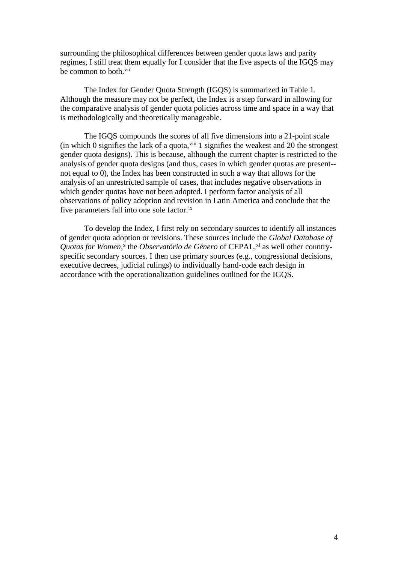surrounding the philosophical differences between gender quota laws and parity regimes, I still treat them equally for I consider that the five aspects of the IGQS may be common to both.<sup>vii</sup>

The Index for Gender Quota Strength (IGQS) is summarized in Table 1. Although the measure may not be perfect, the Index is a step forward in allowing for the comparative analysis of gender quota policies across time and space in a way that is methodologically and theoretically manageable.

The IGQS compounds the scores of all five dimensions into a 21-point scale (in which 0 signifies the lack of a quota,  $\frac{1}{1}$  signifies the weakest and 20 the strongest gender quota designs). This is because, although the current chapter is restricted to the analysis of gender quota designs (and thus, cases in which gender quotas are present- not equal to 0), the Index has been constructed in such a way that allows for the analysis of an unrestricted sample of cases, that includes negative observations in which gender quotas have not been adopted. I perform factor analysis of all observations of policy adoption and revision in Latin America and conclude that the five parameters fall into one sole factor.<sup>ix</sup>

To develop the Index, I first rely on secondary sources to identify all instances of gender quota adoption or revisions. These sources include the *Global Database of*  Quotas for Women,<sup>x</sup> the *Observatório de Género* of CEPAL,<sup>xi</sup> as well other countryspecific secondary sources. I then use primary sources (e.g., congressional decisions, executive decrees, judicial rulings) to individually hand-code each design in accordance with the operationalization guidelines outlined for the IGQS.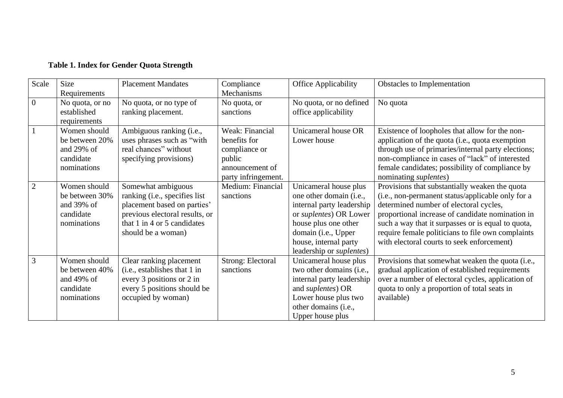| Scale          | <b>Size</b>     | <b>Placement Mandates</b>      | Compliance          | <b>Office Applicability</b>      | Obstacles to Implementation                        |
|----------------|-----------------|--------------------------------|---------------------|----------------------------------|----------------------------------------------------|
|                | Requirements    |                                | Mechanisms          |                                  |                                                    |
| $\overline{0}$ | No quota, or no | No quota, or no type of        | No quota, or        | No quota, or no defined          | No quota                                           |
|                | established     | ranking placement.             | sanctions           | office applicability             |                                                    |
|                | requirements    |                                |                     |                                  |                                                    |
|                | Women should    | Ambiguous ranking (i.e.,       | Weak: Financial     | Unicameral house OR              | Existence of loopholes that allow for the non-     |
|                | be between 20%  | uses phrases such as "with"    | benefits for        | Lower house                      | application of the quota (i.e., quota exemption    |
|                | and 29% of      | real chances" without          | compliance or       |                                  | through use of primaries/internal party elections; |
|                | candidate       | specifying provisions)         | public              |                                  | non-compliance in cases of "lack" of interested    |
|                | nominations     |                                | announcement of     |                                  | female candidates; possibility of compliance by    |
|                |                 |                                | party infringement. |                                  | nominating <i>suplentes</i> )                      |
| $\overline{2}$ | Women should    | Somewhat ambiguous             | Medium: Financial   | Unicameral house plus            | Provisions that substantially weaken the quota     |
|                | be between 30%  | ranking (i.e., specifies list  | sanctions           | one other domain (i.e.,          | (i.e., non-permanent status/applicable only for a  |
|                | and $39\%$ of   | placement based on parties'    |                     | internal party leadership        | determined number of electoral cycles,             |
|                | candidate       | previous electoral results, or |                     | or suplentes) OR Lower           | proportional increase of candidate nomination in   |
|                | nominations     | that 1 in 4 or 5 candidates    |                     | house plus one other             | such a way that it surpasses or is equal to quota, |
|                |                 | should be a woman)             |                     | domain (i.e., Upper              | require female politicians to file own complaints  |
|                |                 |                                |                     | house, internal party            | with electoral courts to seek enforcement)         |
|                |                 |                                |                     | leadership or <i>suplentes</i> ) |                                                    |
| $\overline{3}$ | Women should    | Clear ranking placement        | Strong: Electoral   | Unicameral house plus            | Provisions that somewhat weaken the quota (i.e.,   |
|                | be between 40%  | (i.e., establishes that 1 in   | sanctions           | two other domains (i.e.,         | gradual application of established requirements    |
|                | and $49\%$ of   | every 3 positions or 2 in      |                     | internal party leadership        | over a number of electoral cycles, application of  |
|                | candidate       | every 5 positions should be    |                     | and <i>suplentes</i> ) OR        | quota to only a proportion of total seats in       |
|                | nominations     | occupied by woman)             |                     | Lower house plus two             | available)                                         |
|                |                 |                                |                     | other domains (i.e.,             |                                                    |
|                |                 |                                |                     | Upper house plus                 |                                                    |

# **Table 1. Index for Gender Quota Strength**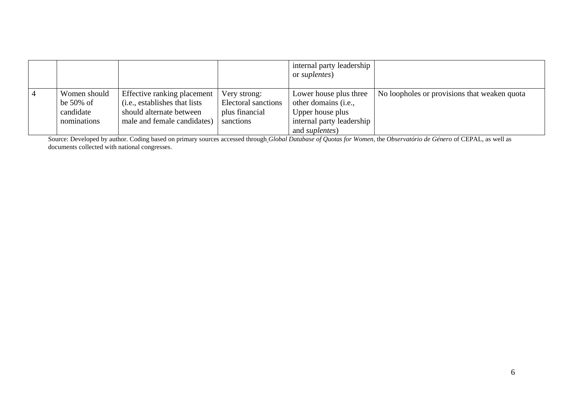|                                                          |                                                                                                                                  |                                                                    | internal party leadership<br>or <i>suplentes</i> )                                                                        |                                              |
|----------------------------------------------------------|----------------------------------------------------------------------------------------------------------------------------------|--------------------------------------------------------------------|---------------------------------------------------------------------------------------------------------------------------|----------------------------------------------|
| Women should<br>be $50\%$ of<br>candidate<br>nominations | Effective ranking placement<br>( <i>i.e.</i> , establishes that lists<br>should alternate between<br>male and female candidates) | Very strong:<br>Electoral sanctions<br>plus financial<br>sanctions | Lower house plus three<br>other domains (i.e.,<br>Upper house plus<br>internal party leadership<br>and <i>suplentes</i> ) | No loopholes or provisions that weaken quota |

Source: Developed by author. Coding based on primary sources accessed through *Global Database of Quotas for Women,* the *Observatório de Género* of CEPAL, as well as documents collected with national congresses.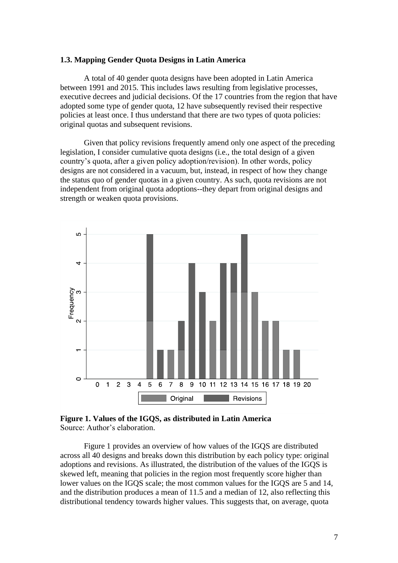### **1.3. Mapping Gender Quota Designs in Latin America**

A total of 40 gender quota designs have been adopted in Latin America between 1991 and 2015. This includes laws resulting from legislative processes, executive decrees and judicial decisions. Of the 17 countries from the region that have adopted some type of gender quota, 12 have subsequently revised their respective policies at least once. I thus understand that there are two types of quota policies: original quotas and subsequent revisions.

Given that policy revisions frequently amend only one aspect of the preceding legislation, I consider cumulative quota designs (i.e., the total design of a given country's quota, after a given policy adoption/revision). In other words, policy designs are not considered in a vacuum, but, instead, in respect of how they change the status quo of gender quotas in a given country. As such, quota revisions are not independent from original quota adoptions--they depart from original designs and strength or weaken quota provisions.



**Figure 1. Values of the IGQS, as distributed in Latin America** Source: Author's elaboration.

Figure 1 provides an overview of how values of the IGQS are distributed across all 40 designs and breaks down this distribution by each policy type: original adoptions and revisions. As illustrated, the distribution of the values of the IGQS is skewed left, meaning that policies in the region most frequently score higher than lower values on the IGQS scale; the most common values for the IGQS are 5 and 14, and the distribution produces a mean of 11.5 and a median of 12, also reflecting this distributional tendency towards higher values. This suggests that, on average, quota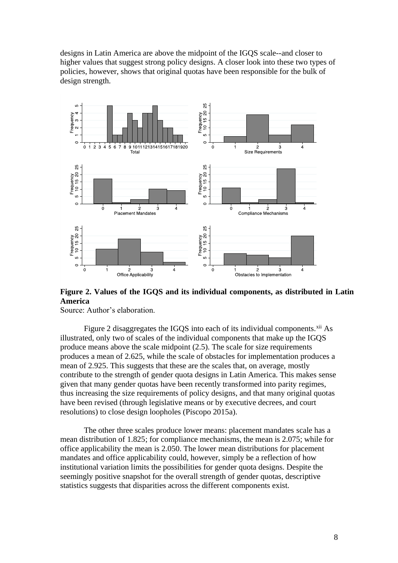designs in Latin America are above the midpoint of the IGQS scale--and closer to higher values that suggest strong policy designs. A closer look into these two types of policies, however, shows that original quotas have been responsible for the bulk of design strength.



### **Figure 2. Values of the IGQS and its individual components, as distributed in Latin America**

Source: Author's elaboration.

Figure 2 disaggregates the IGQS into each of its individual components. $x^{i}$  As illustrated, only two of scales of the individual components that make up the IGQS produce means above the scale midpoint (2.5). The scale for size requirements produces a mean of 2.625, while the scale of obstacles for implementation produces a mean of 2.925. This suggests that these are the scales that, on average, mostly contribute to the strength of gender quota designs in Latin America. This makes sense given that many gender quotas have been recently transformed into parity regimes, thus increasing the size requirements of policy designs, and that many original quotas have been revised (through legislative means or by executive decrees, and court resolutions) to close design loopholes (Piscopo 2015a).

The other three scales produce lower means: placement mandates scale has a mean distribution of 1.825; for compliance mechanisms, the mean is 2.075; while for office applicability the mean is 2.050. The lower mean distributions for placement mandates and office applicability could, however, simply be a reflection of how institutional variation limits the possibilities for gender quota designs. Despite the seemingly positive snapshot for the overall strength of gender quotas, descriptive statistics suggests that disparities across the different components exist.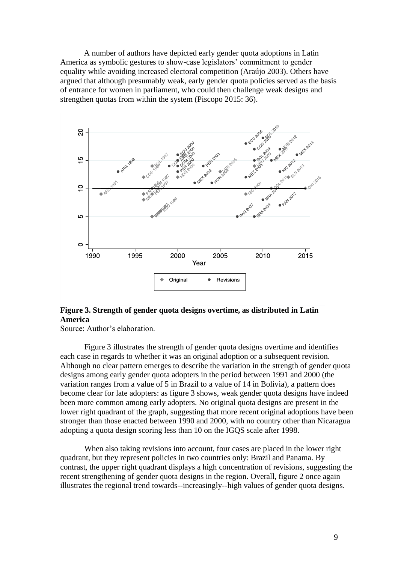A number of authors have depicted early gender quota adoptions in Latin America as symbolic gestures to show-case legislators' commitment to gender equality while avoiding increased electoral competition (Araújo 2003). Others have argued that although presumably weak, early gender quota policies served as the basis of entrance for women in parliament, who could then challenge weak designs and strengthen quotas from within the system (Piscopo 2015: 36).



## **Figure 3. Strength of gender quota designs overtime, as distributed in Latin America**

Source: Author's elaboration.

Figure 3 illustrates the strength of gender quota designs overtime and identifies each case in regards to whether it was an original adoption or a subsequent revision. Although no clear pattern emerges to describe the variation in the strength of gender quota designs among early gender quota adopters in the period between 1991 and 2000 (the variation ranges from a value of 5 in Brazil to a value of 14 in Bolivia), a pattern does become clear for late adopters: as figure 3 shows, weak gender quota designs have indeed been more common among early adopters. No original quota designs are present in the lower right quadrant of the graph, suggesting that more recent original adoptions have been stronger than those enacted between 1990 and 2000, with no country other than Nicaragua adopting a quota design scoring less than 10 on the IGQS scale after 1998.

When also taking revisions into account, four cases are placed in the lower right quadrant, but they represent policies in two countries only: Brazil and Panama. By contrast, the upper right quadrant displays a high concentration of revisions, suggesting the recent strengthening of gender quota designs in the region. Overall, figure 2 once again illustrates the regional trend towards--increasingly--high values of gender quota designs.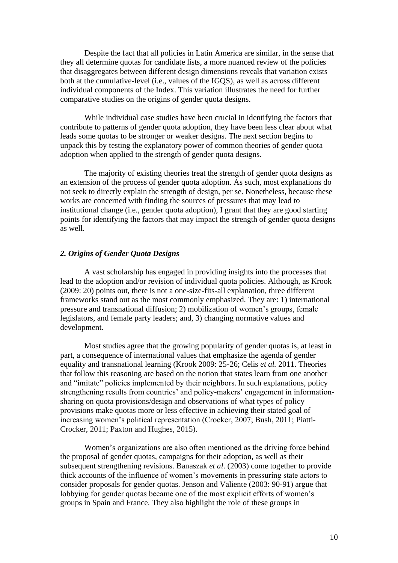Despite the fact that all policies in Latin America are similar, in the sense that they all determine quotas for candidate lists, a more nuanced review of the policies that disaggregates between different design dimensions reveals that variation exists both at the cumulative-level (i.e., values of the IGQS), as well as across different individual components of the Index. This variation illustrates the need for further comparative studies on the origins of gender quota designs.

While individual case studies have been crucial in identifying the factors that contribute to patterns of gender quota adoption, they have been less clear about what leads some quotas to be stronger or weaker designs. The next section begins to unpack this by testing the explanatory power of common theories of gender quota adoption when applied to the strength of gender quota designs.

The majority of existing theories treat the strength of gender quota designs as an extension of the process of gender quota adoption. As such, most explanations do not seek to directly explain the strength of design, per se. Nonetheless, because these works are concerned with finding the sources of pressures that may lead to institutional change (i.e., gender quota adoption), I grant that they are good starting points for identifying the factors that may impact the strength of gender quota designs as well.

### *2. Origins of Gender Quota Designs*

A vast scholarship has engaged in providing insights into the processes that lead to the adoption and/or revision of individual quota policies. Although, as Krook (2009: 20) points out, there is not a one-size-fits-all explanation, three different frameworks stand out as the most commonly emphasized. They are: 1) international pressure and transnational diffusion; 2) mobilization of women's groups, female legislators, and female party leaders; and, 3) changing normative values and development.

Most studies agree that the growing popularity of gender quotas is, at least in part, a consequence of international values that emphasize the agenda of gender equality and transnational learning (Krook 2009: 25-26; Celis *et al.* 2011. Theories that follow this reasoning are based on the notion that states learn from one another and "imitate" policies implemented by their neighbors. In such explanations, policy strengthening results from countries' and policy-makers' engagement in informationsharing on quota provisions/design and observations of what types of policy provisions make quotas more or less effective in achieving their stated goal of increasing women's political representation (Crocker, 2007; Bush, 2011; Piatti-Crocker, 2011; Paxton and Hughes, 2015).

Women's organizations are also often mentioned as the driving force behind the proposal of gender quotas, campaigns for their adoption, as well as their subsequent strengthening revisions. Banaszak *et al*. (2003) come together to provide thick accounts of the influence of women's movements in pressuring state actors to consider proposals for gender quotas. Jenson and Valiente (2003: 90-91) argue that lobbying for gender quotas became one of the most explicit efforts of women's groups in Spain and France. They also highlight the role of these groups in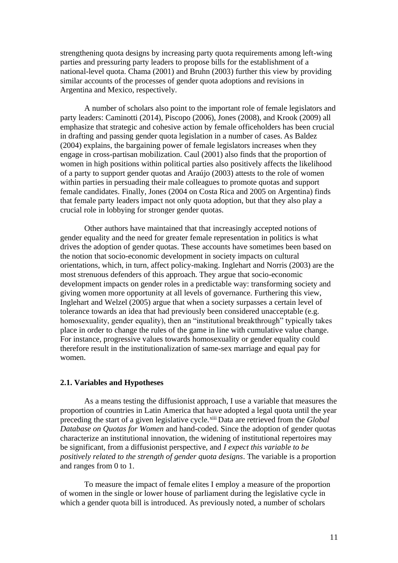strengthening quota designs by increasing party quota requirements among left-wing parties and pressuring party leaders to propose bills for the establishment of a national-level quota. Chama (2001) and Bruhn (2003) further this view by providing similar accounts of the processes of gender quota adoptions and revisions in Argentina and Mexico, respectively.

A number of scholars also point to the important role of female legislators and party leaders: Caminotti (2014), Piscopo (2006), Jones (2008), and Krook (2009) all emphasize that strategic and cohesive action by female officeholders has been crucial in drafting and passing gender quota legislation in a number of cases. As Baldez (2004) explains, the bargaining power of female legislators increases when they engage in cross-partisan mobilization. Caul (2001) also finds that the proportion of women in high positions within political parties also positively affects the likelihood of a party to support gender quotas and Araújo (2003) attests to the role of women within parties in persuading their male colleagues to promote quotas and support female candidates. Finally, Jones (2004 on Costa Rica and 2005 on Argentina) finds that female party leaders impact not only quota adoption, but that they also play a crucial role in lobbying for stronger gender quotas.

Other authors have maintained that that increasingly accepted notions of gender equality and the need for greater female representation in politics is what drives the adoption of gender quotas. These accounts have sometimes been based on the notion that socio-economic development in society impacts on cultural orientations, which, in turn, affect policy-making. Inglehart and Norris (2003) are the most strenuous defenders of this approach. They argue that socio-economic development impacts on gender roles in a predictable way: transforming society and giving women more opportunity at all levels of governance. Furthering this view, Inglehart and Welzel (2005) argue that when a society surpasses a certain level of tolerance towards an idea that had previously been considered unacceptable (e.g. homosexuality, gender equality), then an "institutional breakthrough" typically takes place in order to change the rules of the game in line with cumulative value change. For instance, progressive values towards homosexuality or gender equality could therefore result in the institutionalization of same-sex marriage and equal pay for women.

### **2.1. Variables and Hypotheses**

As a means testing the diffusionist approach, I use a variable that measures the proportion of countries in Latin America that have adopted a legal quota until the year preceding the start of a given legislative cycle.<sup>xiii</sup> Data are retrieved from the *Global Database on Quotas for Women* and hand-coded. Since the adoption of gender quotas characterize an institutional innovation, the widening of institutional repertoires may be significant, from a diffusionist perspective, and *I expect this variable to be positively related to the strength of gender quota designs*. The variable is a proportion and ranges from 0 to 1.

To measure the impact of female elites I employ a measure of the proportion of women in the single or lower house of parliament during the legislative cycle in which a gender quota bill is introduced. As previously noted, a number of scholars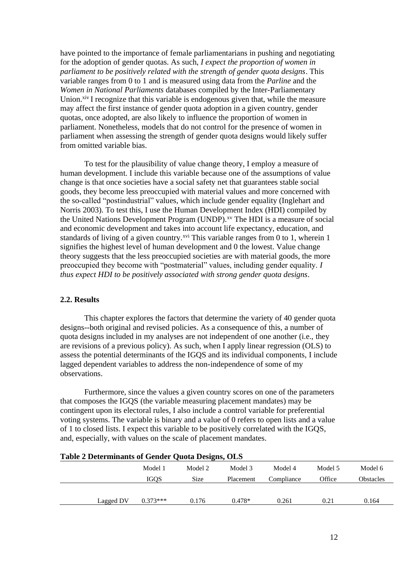have pointed to the importance of female parliamentarians in pushing and negotiating for the adoption of gender quotas. As such, *I expect the proportion of women in parliament to be positively related with the strength of gender quota designs*. This variable ranges from 0 to 1 and is measured using data from the *Parline* and the *Women in National Parliaments* databases compiled by the Inter-Parliamentary Union.<sup>xiv</sup> I recognize that this variable is endogenous given that, while the measure may affect the first instance of gender quota adoption in a given country, gender quotas, once adopted, are also likely to influence the proportion of women in parliament. Nonetheless, models that do not control for the presence of women in parliament when assessing the strength of gender quota designs would likely suffer from omitted variable bias.

To test for the plausibility of value change theory, I employ a measure of human development. I include this variable because one of the assumptions of value change is that once societies have a social safety net that guarantees stable social goods, they become less preoccupied with material values and more concerned with the so-called "postindustrial" values, which include gender equality (Inglehart and Norris 2003). To test this, I use the Human Development Index (HDI) compiled by the United Nations Development Program (UNDP).<sup>xv</sup> The HDI is a measure of social and economic development and takes into account life expectancy, education, and standards of living of a given country.<sup>xvi</sup> This variable ranges from 0 to 1, wherein 1 signifies the highest level of human development and 0 the lowest. Value change theory suggests that the less preoccupied societies are with material goods, the more preoccupied they become with "postmaterial" values, including gender equality. *I thus expect HDI to be positively associated with strong gender quota designs.*

### **2.2. Results**

This chapter explores the factors that determine the variety of 40 gender quota designs--both original and revised policies. As a consequence of this, a number of quota designs included in my analyses are not independent of one another (i.e., they are revisions of a previous policy). As such, when I apply linear regression (OLS) to assess the potential determinants of the IGQS and its individual components, I include lagged dependent variables to address the non-independence of some of my observations.

Furthermore, since the values a given country scores on one of the parameters that composes the IGQS (the variable measuring placement mandates) may be contingent upon its electoral rules, I also include a control variable for preferential voting systems. The variable is binary and a value of 0 refers to open lists and a value of 1 to closed lists. I expect this variable to be positively correlated with the IGQS, and, especially, with values on the scale of placement mandates.

|           | Model 1    | Model 2     | Model 3   | Model 4    | Model 5 | Model 6   |
|-----------|------------|-------------|-----------|------------|---------|-----------|
|           | IGOS       | <b>Size</b> | Placement | Compliance | Office  | Obstacles |
|           |            |             |           |            |         |           |
| Lagged DV | $0.373***$ | 0.176       | $0.478*$  | 0.261      | 0.21    | 0.164     |

#### **Table 2 Determinants of Gender Quota Designs, OLS**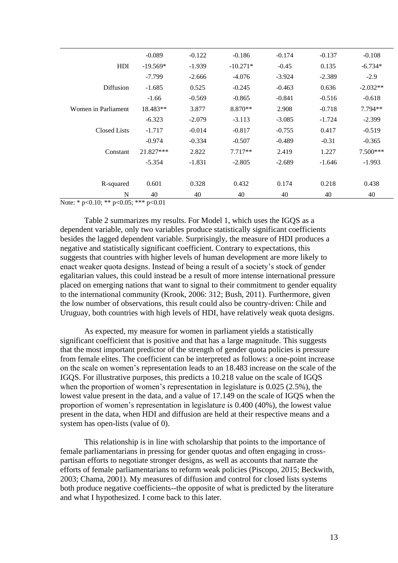|                     | $-0.089$   | $-0.122$ | $-0.186$   | $-0.174$ | $-0.137$ | $-0.108$   |
|---------------------|------------|----------|------------|----------|----------|------------|
| <b>HDI</b>          | $-19.569*$ | $-1.939$ | $-10.271*$ | $-0.45$  | 0.135    | $-6.734*$  |
|                     | $-7.799$   | $-2.666$ | $-4.076$   | $-3.924$ | $-2.389$ | $-2.9$     |
| Diffusion           | $-1.685$   | 0.525    | $-0.245$   | $-0.463$ | 0.636    | $-2.032**$ |
|                     | $-1.66$    | $-0.569$ | $-0.865$   | $-0.841$ | $-0.516$ | $-0.618$   |
| Women in Parliament | 18.483**   | 3.877    | $8.870**$  | 2.908    | $-0.718$ | 7.794**    |
|                     | $-6.323$   | $-2.079$ | $-3.113$   | $-3.085$ | $-1.724$ | $-2.399$   |
| <b>Closed Lists</b> | $-1.717$   | $-0.014$ | $-0.817$   | $-0.755$ | 0.417    | $-0.519$   |
|                     | $-0.974$   | $-0.334$ | $-0.507$   | $-0.489$ | $-0.31$  | $-0.365$   |
| Constant            | 21.827***  | 2.822    | $7.717**$  | 2.419    | 1.227    | $7.500***$ |
|                     | $-5.354$   | $-1.831$ | $-2.805$   | $-2.689$ | $-1.646$ | $-1.993$   |
|                     |            |          |            |          |          |            |
| R-squared           | 0.601      | 0.328    | 0.432      | 0.174    | 0.218    | 0.438      |
| N                   | 40         | 40       | 40         | 40       | 40       | 40         |

Note: \* p<0.10; \*\* p<0.05; \*\*\* p<0.01

Table 2 summarizes my results. For Model 1, which uses the IGQS as a dependent variable, only two variables produce statistically significant coefficients besides the lagged dependent variable. Surprisingly, the measure of HDI produces a negative and statistically significant coefficient. Contrary to expectations, this suggests that countries with higher levels of human development are more likely to enact weaker quota designs. Instead of being a result of a society's stock of gender egalitarian values, this could instead be a result of more intense international pressure placed on emerging nations that want to signal to their commitment to gender equality to the international community (Krook, 2006: 312; Bush, 2011). Furthermore, given the low number of observations, this result could also be country-driven: Chile and Uruguay, both countries with high levels of HDI, have relatively weak quota designs.

As expected, my measure for women in parliament yields a statistically significant coefficient that is positive and that has a large magnitude. This suggests that the most important predictor of the strength of gender quota policies is pressure from female elites. The coefficient can be interpreted as follows: a one-point increase on the scale on women's representation leads to an 18.483 increase on the scale of the IGQS. For illustrative purposes, this predicts a 10.218 value on the scale of IGQS when the proportion of women's representation in legislature is 0.025 (2.5%), the lowest value present in the data, and a value of 17.149 on the scale of IGQS when the proportion of women's representation in legislature is 0.400 (40%), the lowest value present in the data, when HDI and diffusion are held at their respective means and a system has open-lists (value of 0).

This relationship is in line with scholarship that points to the importance of female parliamentarians in pressing for gender quotas and often engaging in crosspartisan efforts to negotiate stronger designs, as well as accounts that narrate the efforts of female parliamentarians to reform weak policies (Piscopo, 2015; Beckwith, 2003; Chama, 2001). My measures of diffusion and control for closed lists systems both produce negative coefficients--the opposite of what is predicted by the literature and what I hypothesized. I come back to this later.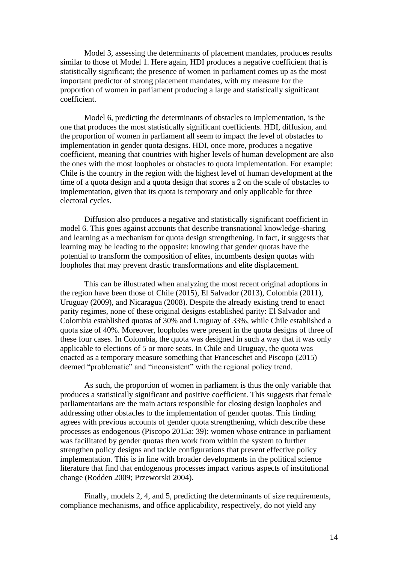Model 3, assessing the determinants of placement mandates, produces results similar to those of Model 1. Here again, HDI produces a negative coefficient that is statistically significant; the presence of women in parliament comes up as the most important predictor of strong placement mandates, with my measure for the proportion of women in parliament producing a large and statistically significant coefficient.

Model 6, predicting the determinants of obstacles to implementation, is the one that produces the most statistically significant coefficients. HDI, diffusion, and the proportion of women in parliament all seem to impact the level of obstacles to implementation in gender quota designs. HDI, once more, produces a negative coefficient, meaning that countries with higher levels of human development are also the ones with the most loopholes or obstacles to quota implementation. For example: Chile is the country in the region with the highest level of human development at the time of a quota design and a quota design that scores a 2 on the scale of obstacles to implementation, given that its quota is temporary and only applicable for three electoral cycles.

Diffusion also produces a negative and statistically significant coefficient in model 6. This goes against accounts that describe transnational knowledge-sharing and learning as a mechanism for quota design strengthening. In fact, it suggests that learning may be leading to the opposite: knowing that gender quotas have the potential to transform the composition of elites, incumbents design quotas with loopholes that may prevent drastic transformations and elite displacement.

This can be illustrated when analyzing the most recent original adoptions in the region have been those of Chile (2015), El Salvador (2013), Colombia (2011), Uruguay (2009), and Nicaragua (2008). Despite the already existing trend to enact parity regimes, none of these original designs established parity: El Salvador and Colombia established quotas of 30% and Uruguay of 33%, while Chile established a quota size of 40%. Moreover, loopholes were present in the quota designs of three of these four cases. In Colombia, the quota was designed in such a way that it was only applicable to elections of 5 or more seats. In Chile and Uruguay, the quota was enacted as a temporary measure something that Franceschet and Piscopo (2015) deemed "problematic" and "inconsistent" with the regional policy trend.

As such, the proportion of women in parliament is thus the only variable that produces a statistically significant and positive coefficient. This suggests that female parliamentarians are the main actors responsible for closing design loopholes and addressing other obstacles to the implementation of gender quotas. This finding agrees with previous accounts of gender quota strengthening, which describe these processes as endogenous (Piscopo 2015a: 39): women whose entrance in parliament was facilitated by gender quotas then work from within the system to further strengthen policy designs and tackle configurations that prevent effective policy implementation. This is in line with broader developments in the political science literature that find that endogenous processes impact various aspects of institutional change (Rodden 2009; Przeworski 2004).

Finally, models 2, 4, and 5, predicting the determinants of size requirements, compliance mechanisms, and office applicability, respectively, do not yield any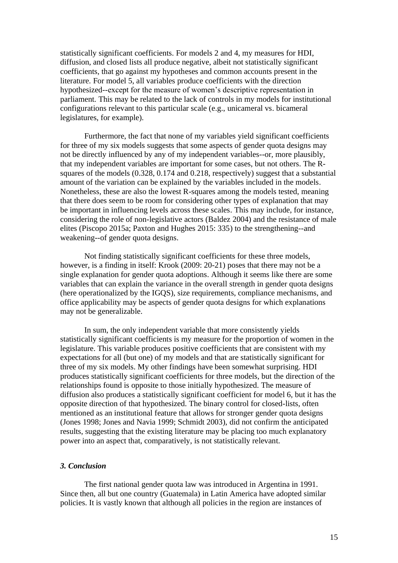statistically significant coefficients. For models 2 and 4, my measures for HDI, diffusion, and closed lists all produce negative, albeit not statistically significant coefficients, that go against my hypotheses and common accounts present in the literature. For model 5, all variables produce coefficients with the direction hypothesized--except for the measure of women's descriptive representation in parliament. This may be related to the lack of controls in my models for institutional configurations relevant to this particular scale (e.g., unicameral vs. bicameral legislatures, for example).

Furthermore, the fact that none of my variables yield significant coefficients for three of my six models suggests that some aspects of gender quota designs may not be directly influenced by any of my independent variables--or, more plausibly, that my independent variables are important for some cases, but not others. The Rsquares of the models (0.328, 0.174 and 0.218, respectively) suggest that a substantial amount of the variation can be explained by the variables included in the models. Nonetheless, these are also the lowest R-squares among the models tested, meaning that there does seem to be room for considering other types of explanation that may be important in influencing levels across these scales. This may include, for instance, considering the role of non-legislative actors (Baldez 2004) and the resistance of male elites (Piscopo 2015a; Paxton and Hughes 2015: 335) to the strengthening--and weakening--of gender quota designs.

Not finding statistically significant coefficients for these three models, however, is a finding in itself: Krook (2009: 20-21) poses that there may not be a single explanation for gender quota adoptions. Although it seems like there are some variables that can explain the variance in the overall strength in gender quota designs (here operationalized by the IGQS), size requirements, compliance mechanisms, and office applicability may be aspects of gender quota designs for which explanations may not be generalizable.

In sum, the only independent variable that more consistently yields statistically significant coefficients is my measure for the proportion of women in the legislature. This variable produces positive coefficients that are consistent with my expectations for all (but one) of my models and that are statistically significant for three of my six models. My other findings have been somewhat surprising. HDI produces statistically significant coefficients for three models, but the direction of the relationships found is opposite to those initially hypothesized. The measure of diffusion also produces a statistically significant coefficient for model 6, but it has the opposite direction of that hypothesized. The binary control for closed-lists, often mentioned as an institutional feature that allows for stronger gender quota designs (Jones 1998; Jones and Navia 1999; Schmidt 2003), did not confirm the anticipated results, suggesting that the existing literature may be placing too much explanatory power into an aspect that, comparatively, is not statistically relevant.

### *3. Conclusion*

The first national gender quota law was introduced in Argentina in 1991. Since then, all but one country (Guatemala) in Latin America have adopted similar policies. It is vastly known that although all policies in the region are instances of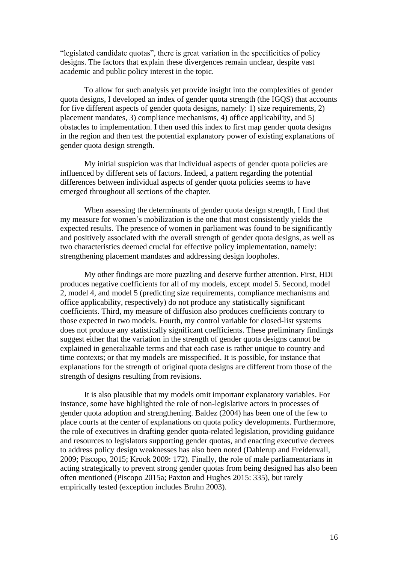"legislated candidate quotas", there is great variation in the specificities of policy designs. The factors that explain these divergences remain unclear, despite vast academic and public policy interest in the topic.

To allow for such analysis yet provide insight into the complexities of gender quota designs, I developed an index of gender quota strength (the IGQS) that accounts for five different aspects of gender quota designs, namely: 1) size requirements, 2) placement mandates, 3) compliance mechanisms, 4) office applicability, and 5) obstacles to implementation. I then used this index to first map gender quota designs in the region and then test the potential explanatory power of existing explanations of gender quota design strength.

My initial suspicion was that individual aspects of gender quota policies are influenced by different sets of factors. Indeed, a pattern regarding the potential differences between individual aspects of gender quota policies seems to have emerged throughout all sections of the chapter.

When assessing the determinants of gender quota design strength, I find that my measure for women's mobilization is the one that most consistently yields the expected results. The presence of women in parliament was found to be significantly and positively associated with the overall strength of gender quota designs, as well as two characteristics deemed crucial for effective policy implementation, namely: strengthening placement mandates and addressing design loopholes.

My other findings are more puzzling and deserve further attention. First, HDI produces negative coefficients for all of my models, except model 5. Second, model 2, model 4, and model 5 (predicting size requirements, compliance mechanisms and office applicability, respectively) do not produce any statistically significant coefficients. Third, my measure of diffusion also produces coefficients contrary to those expected in two models. Fourth, my control variable for closed-list systems does not produce any statistically significant coefficients. These preliminary findings suggest either that the variation in the strength of gender quota designs cannot be explained in generalizable terms and that each case is rather unique to country and time contexts; or that my models are misspecified. It is possible, for instance that explanations for the strength of original quota designs are different from those of the strength of designs resulting from revisions.

It is also plausible that my models omit important explanatory variables. For instance, some have highlighted the role of non-legislative actors in processes of gender quota adoption and strengthening. Baldez (2004) has been one of the few to place courts at the center of explanations on quota policy developments. Furthermore, the role of executives in drafting gender quota-related legislation, providing guidance and resources to legislators supporting gender quotas, and enacting executive decrees to address policy design weaknesses has also been noted (Dahlerup and Freidenvall, 2009; Piscopo, 2015; Krook 2009: 172). Finally, the role of male parliamentarians in acting strategically to prevent strong gender quotas from being designed has also been often mentioned (Piscopo 2015a; Paxton and Hughes 2015: 335), but rarely empirically tested (exception includes Bruhn 2003).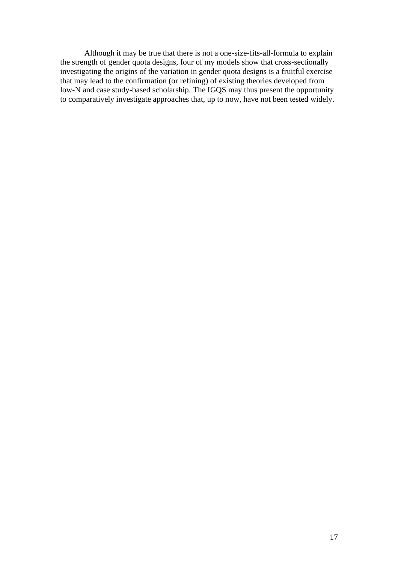Although it may be true that there is not a one-size-fits-all-formula to explain the strength of gender quota designs, four of my models show that cross-sectionally investigating the origins of the variation in gender quota designs is a fruitful exercise that may lead to the confirmation (or refining) of existing theories developed from low-N and case study-based scholarship. The IGQS may thus present the opportunity to comparatively investigate approaches that, up to now, have not been tested widely.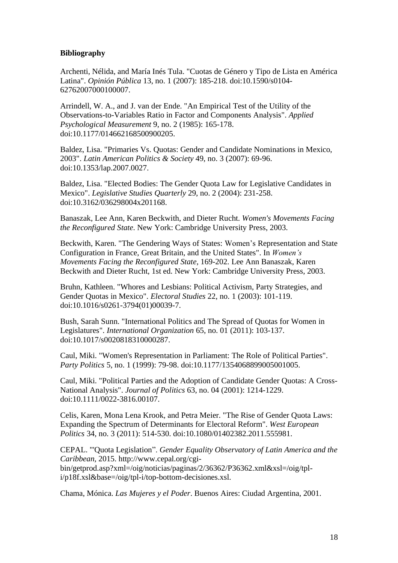### **Bibliography**

Archenti, Nélida, and María Inés Tula. "Cuotas de Género y Tipo de Lista en América Latina". *Opinión Pública* 13, no. 1 (2007): 185-218. doi:10.1590/s0104- 62762007000100007.

Arrindell, W. A., and J. van der Ende. "An Empirical Test of the Utility of the Observations-to-Variables Ratio in Factor and Components Analysis". *Applied Psychological Measurement* 9, no. 2 (1985): 165-178. doi:10.1177/014662168500900205.

Baldez, Lisa. "Primaries Vs. Quotas: Gender and Candidate Nominations in Mexico, 2003". *Latin American Politics & Society* 49, no. 3 (2007): 69-96. doi:10.1353/lap.2007.0027.

Baldez, Lisa. "Elected Bodies: The Gender Quota Law for Legislative Candidates in Mexico". *Legislative Studies Quarterly* 29, no. 2 (2004): 231-258. doi:10.3162/036298004x201168.

Banaszak, Lee Ann, Karen Beckwith, and Dieter Rucht. *Women's Movements Facing the Reconfigured State*. New York: Cambridge University Press, 2003.

Beckwith, Karen. "The Gendering Ways of States: Women's Representation and State Configuration in France, Great Britain, and the United States". In *Women's Movements Facing the Reconfigured State*, 169-202. Lee Ann Banaszak, Karen Beckwith and Dieter Rucht, 1st ed. New York: Cambridge University Press, 2003.

Bruhn, Kathleen. "Whores and Lesbians: Political Activism, Party Strategies, and Gender Quotas in Mexico". *Electoral Studies* 22, no. 1 (2003): 101-119. doi:10.1016/s0261-3794(01)00039-7.

Bush, Sarah Sunn. "International Politics and The Spread of Quotas for Women in Legislatures". *International Organization* 65, no. 01 (2011): 103-137. doi:10.1017/s0020818310000287.

Caul, Miki. "Women's Representation in Parliament: The Role of Political Parties". *Party Politics* 5, no. 1 (1999): 79-98. doi:10.1177/1354068899005001005.

Caul, Miki. "Political Parties and the Adoption of Candidate Gender Quotas: A Cross-National Analysis". *Journal of Politics* 63, no. 04 (2001): 1214-1229. doi:10.1111/0022-3816.00107.

Celis, Karen, Mona Lena Krook, and Petra Meier. "The Rise of Gender Quota Laws: Expanding the Spectrum of Determinants for Electoral Reform". *West European Politics* 34, no. 3 (2011): 514-530. doi:10.1080/01402382.2011.555981.

CEPAL. "'Quota Legislation". *Gender Equality Observatory of Latin America and the Caribbean*, 2015. http://www.cepal.org/cgibin/getprod.asp?xml=/oig/noticias/paginas/2/36362/P36362.xml&xsl=/oig/tpli/p18f.xsl&base=/oig/tpl-i/top-bottom-decisiones.xsl.

Chama, Mónica. *Las Mujeres y el Poder*. Buenos Aires: Ciudad Argentina, 2001.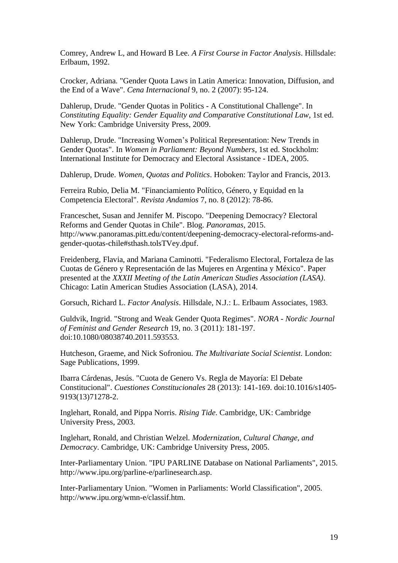Comrey, Andrew L, and Howard B Lee. *A First Course in Factor Analysis*. Hillsdale: Erlbaum, 1992.

Crocker, Adriana. "Gender Quota Laws in Latin America: Innovation, Diffusion, and the End of a Wave". *Cena Internacional* 9, no. 2 (2007): 95-124.

Dahlerup, Drude. "Gender Quotas in Politics - A Constitutional Challenge". In *Constituting Equality: Gender Equality and Comparative Constitutional Law*, 1st ed. New York: Cambridge University Press, 2009.

Dahlerup, Drude. "Increasing Women's Political Representation: New Trends in Gender Quotas". In *Women in Parliament: Beyond Numbers*, 1st ed. Stockholm: International Institute for Democracy and Electoral Assistance - IDEA, 2005.

Dahlerup, Drude. *Women, Quotas and Politics*. Hoboken: Taylor and Francis, 2013.

Ferreira Rubio, Delia M. "Financiamiento Político, Género, y Equidad en la Competencia Electoral". *Revista Andamios* 7, no. 8 (2012): 78-86.

Franceschet, Susan and Jennifer M. Piscopo. "Deepening Democracy? Electoral Reforms and Gender Quotas in Chile". Blog. *Panoramas*, 2015. http://www.panoramas.pitt.edu/content/deepening-democracy-electoral-reforms-andgender-quotas-chile#sthash.tolsTVey.dpuf.

Freidenberg, Flavia, and Mariana Caminotti. "Federalismo Electoral, Fortaleza de las Cuotas de Género y Representación de las Mujeres en Argentina y México". Paper presented at the *XXXII Meeting of the Latin American Studies Association (LASA)*. Chicago: Latin American Studies Association (LASA), 2014.

Gorsuch, Richard L. *Factor Analysis*. Hillsdale, N.J.: L. Erlbaum Associates, 1983.

Guldvik, Ingrid. "Strong and Weak Gender Quota Regimes". *NORA - Nordic Journal of Feminist and Gender Research* 19, no. 3 (2011): 181-197. doi:10.1080/08038740.2011.593553.

Hutcheson, Graeme, and Nick Sofroniou. *The Multivariate Social Scientist*. London: Sage Publications, 1999.

Ibarra Cárdenas, Jesús. "Cuota de Genero Vs. Regla de Mayoría: El Debate Constitucional". *Cuestiones Constitucionales* 28 (2013): 141-169. doi:10.1016/s1405- 9193(13)71278-2.

Inglehart, Ronald, and Pippa Norris. *Rising Tide*. Cambridge, UK: Cambridge University Press, 2003.

Inglehart, Ronald, and Christian Welzel. *Modernization, Cultural Change, and Democracy*. Cambridge, UK: Cambridge University Press, 2005.

Inter-Parliamentary Union. "IPU PARLINE Database on National Parliaments", 2015. http://www.ipu.org/parline-e/parlinesearch.asp.

Inter-Parliamentary Union. "Women in Parliaments: World Classification", 2005. http://www.ipu.org/wmn-e/classif.htm.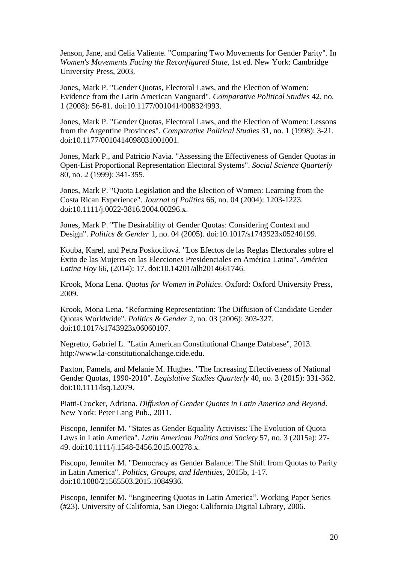Jenson, Jane, and Celia Valiente. "Comparing Two Movements for Gender Parity". In *Women's Movements Facing the Reconfigured State*, 1st ed. New York: Cambridge University Press, 2003.

Jones, Mark P. "Gender Quotas, Electoral Laws, and the Election of Women: Evidence from the Latin American Vanguard". *Comparative Political Studies* 42, no. 1 (2008): 56-81. doi:10.1177/0010414008324993.

Jones, Mark P. "Gender Quotas, Electoral Laws, and the Election of Women: Lessons from the Argentine Provinces". *Comparative Political Studies* 31, no. 1 (1998): 3-21. doi:10.1177/0010414098031001001.

Jones, Mark P., and Patricio Navia. "Assessing the Effectiveness of Gender Quotas in Open-List Proportional Representation Electoral Systems". *Social Science Quarterly* 80, no. 2 (1999): 341-355.

Jones, Mark P. "Quota Legislation and the Election of Women: Learning from the Costa Rican Experience". *Journal of Politics* 66, no. 04 (2004): 1203-1223. doi:10.1111/j.0022-3816.2004.00296.x.

Jones, Mark P. "The Desirability of Gender Quotas: Considering Context and Design". *Politics & Gender* 1, no. 04 (2005). doi:10.1017/s1743923x05240199.

Kouba, Karel, and Petra Poskocilová. "Los Efectos de las Reglas Electorales sobre el Éxito de las Mujeres en las Elecciones Presidenciales en América Latina". *América Latina Hoy* 66, (2014): 17. doi:10.14201/alh2014661746.

Krook, Mona Lena. *Quotas for Women in Politics*. Oxford: Oxford University Press, 2009.

Krook, Mona Lena. "Reforming Representation: The Diffusion of Candidate Gender Quotas Worldwide". *Politics & Gender* 2, no. 03 (2006): 303-327. doi:10.1017/s1743923x06060107.

Negretto, Gabriel L. "Latin American Constitutional Change Database", 2013. http://www.la-constitutionalchange.cide.edu.

Paxton, Pamela, and Melanie M. Hughes. "The Increasing Effectiveness of National Gender Quotas, 1990-2010". *Legislative Studies Quarterly* 40, no. 3 (2015): 331-362. doi:10.1111/lsq.12079.

Piatti-Crocker, Adriana. *Diffusion of Gender Quotas in Latin America and Beyond*. New York: Peter Lang Pub., 2011.

Piscopo, Jennifer M. "States as Gender Equality Activists: The Evolution of Quota Laws in Latin America". *Latin American Politics and Society* 57, no. 3 (2015a): 27- 49. doi:10.1111/j.1548-2456.2015.00278.x.

Piscopo, Jennifer M. "Democracy as Gender Balance: The Shift from Quotas to Parity in Latin America". *Politics, Groups, and Identities*, 2015b, 1-17. doi:10.1080/21565503.2015.1084936.

Piscopo, Jennifer M. "Engineering Quotas in Latin America". Working Paper Series (#23). University of California, San Diego: California Digital Library, 2006.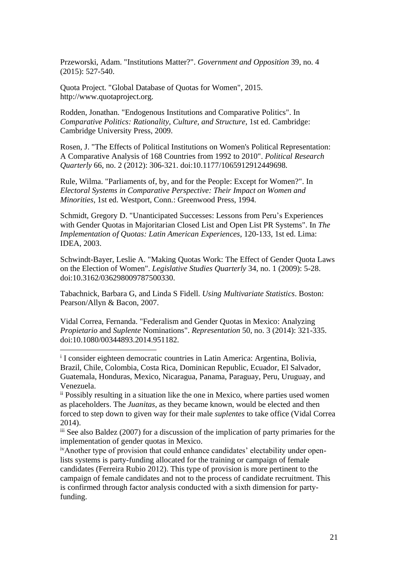Przeworski, Adam. "Institutions Matter?". *Government and Opposition* 39, no. 4 (2015): 527-540.

Quota Project. "Global Database of Quotas for Women", 2015. http://www.quotaproject.org.

Rodden, Jonathan. "Endogenous Institutions and Comparative Politics". In *Comparative Politics: Rationality, Culture, and Structure*, 1st ed. Cambridge: Cambridge University Press, 2009.

Rosen, J. "The Effects of Political Institutions on Women's Political Representation: A Comparative Analysis of 168 Countries from 1992 to 2010". *Political Research Quarterly* 66, no. 2 (2012): 306-321. doi:10.1177/1065912912449698.

Rule, Wilma. "Parliaments of, by, and for the People: Except for Women?". In *Electoral Systems in Comparative Perspective: Their Impact on Women and Minorities*, 1st ed. Westport, Conn.: Greenwood Press, 1994.

Schmidt, Gregory D. "Unanticipated Successes: Lessons from Peru's Experiences with Gender Quotas in Majoritarian Closed List and Open List PR Systems". In *The Implementation of Quotas: Latin American Experiences*, 120-133, 1st ed. Lima: IDEA, 2003.

Schwindt-Bayer, Leslie A. "Making Quotas Work: The Effect of Gender Quota Laws on the Election of Women". *Legislative Studies Quarterly* 34, no. 1 (2009): 5-28. doi:10.3162/036298009787500330.

Tabachnick, Barbara G, and Linda S Fidell. *Using Multivariate Statistics*. Boston: Pearson/Allyn & Bacon, 2007.

Vidal Correa, Fernanda. "Federalism and Gender Quotas in Mexico: Analyzing *Propietario* and *Suplente* Nominations". *Representation* 50, no. 3 (2014): 321-335. doi:10.1080/00344893.2014.951182.

<sup>&</sup>lt;sup>i</sup> I consider eighteen democratic countries in Latin America: Argentina, Bolivia, Brazil, Chile, Colombia, Costa Rica, Dominican Republic, Ecuador, El Salvador, Guatemala, Honduras, Mexico, Nicaragua, Panama, Paraguay, Peru, Uruguay, and Venezuela.

ii Possibly resulting in a situation like the one in Mexico, where parties used women as placeholders. The *Juanitas*, as they became known, would be elected and then forced to step down to given way for their male *suplentes* to take office (Vidal Correa 2014).

iii See also Baldez (2007) for a discussion of the implication of party primaries for the implementation of gender quotas in Mexico.

ivAnother type of provision that could enhance candidates' electability under openlists systems is party-funding allocated for the training or campaign of female candidates (Ferreira Rubio 2012). This type of provision is more pertinent to the campaign of female candidates and not to the process of candidate recruitment. This is confirmed through factor analysis conducted with a sixth dimension for partyfunding.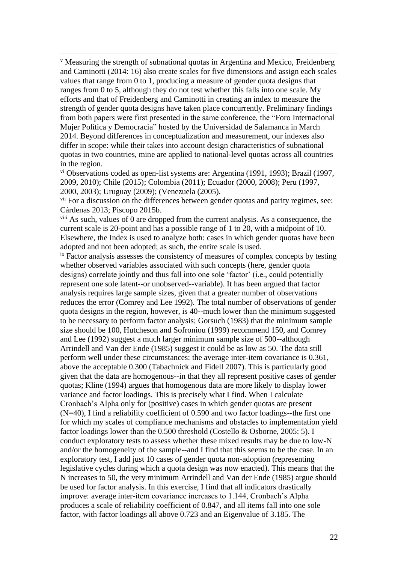<sup>v</sup> Measuring the strength of subnational quotas in Argentina and Mexico, Freidenberg and Caminotti (2014: 16) also create scales for five dimensions and assign each scales values that range from 0 to 1, producing a measure of gender quota designs that ranges from 0 to 5, although they do not test whether this falls into one scale. My efforts and that of Freidenberg and Caminotti in creating an index to measure the strength of gender quota designs have taken place concurrently. Preliminary findings from both papers were first presented in the same conference, the "Foro Internacional Mujer Política y Democracia" hosted by the Universidad de Salamanca in March 2014. Beyond differences in conceptualization and measurement, our indexes also differ in scope: while their takes into account design characteristics of subnational quotas in two countries, mine are applied to national-level quotas across all countries in the region.

vi Observations coded as open-list systems are: Argentina (1991, 1993); Brazil (1997, 2009, 2010); Chile (2015); Colombia (2011); Ecuador (2000, 2008); Peru (1997, 2000, 2003); Uruguay (2009); (Venezuela (2005).

<sup>vii</sup> For a discussion on the differences between gender quotas and parity regimes, see: Cárdenas 2013; Piscopo 2015b.

viii As such, values of 0 are dropped from the current analysis. As a consequence, the current scale is 20-point and has a possible range of 1 to 20, with a midpoint of 10. Elsewhere, the Index is used to analyze both: cases in which gender quotas have been adopted and not been adopted; as such, the entire scale is used.

ix Factor analysis assesses the consistency of measures of complex concepts by testing whether observed variables associated with such concepts (here, gender quota designs) correlate jointly and thus fall into one sole 'factor' (*i.e.*, could potentially represent one sole latent--or unobserved--variable). It has been argued that factor analysis requires large sample sizes, given that a greater number of observations reduces the error (Comrey and Lee 1992). The total number of observations of gender quota designs in the region, however, is 40--much lower than the minimum suggested to be necessary to perform factor analysis; Gorsuch (1983) that the minimum sample size should be 100, Hutcheson and Sofroniou (1999) recommend 150, and Comrey and Lee (1992) suggest a much larger minimum sample size of 500--although Arrindell and Van der Ende (1985) suggest it could be as low as 50. The data still perform well under these circumstances: the average inter-item covariance is 0.361, above the acceptable 0.300 (Tabachnick and Fidell 2007). This is particularly good given that the data are homogenous--in that they all represent positive cases of gender quotas; Kline (1994) argues that homogenous data are more likely to display lower variance and factor loadings. This is precisely what I find. When I calculate Cronbach's Alpha only for (positive) cases in which gender quotas are present (N=40), I find a reliability coefficient of 0.590 and two factor loadings--the first one for which my scales of compliance mechanisms and obstacles to implementation yield factor loadings lower than the 0.500 threshold (Costello & Osborne, 2005: 5). I conduct exploratory tests to assess whether these mixed results may be due to low-N and/or the homogeneity of the sample--and I find that this seems to be the case. In an exploratory test, I add just 10 cases of gender quota non-adoption (representing legislative cycles during which a quota design was now enacted). This means that the N increases to 50, the very minimum Arrindell and Van der Ende (1985) argue should be used for factor analysis. In this exercise, I find that all indicators drastically improve: average inter-item covariance increases to 1.144, Cronbach's Alpha produces a scale of reliability coefficient of 0.847, and all items fall into one sole factor, with factor loadings all above 0.723 and an Eigenvalue of 3.185. The